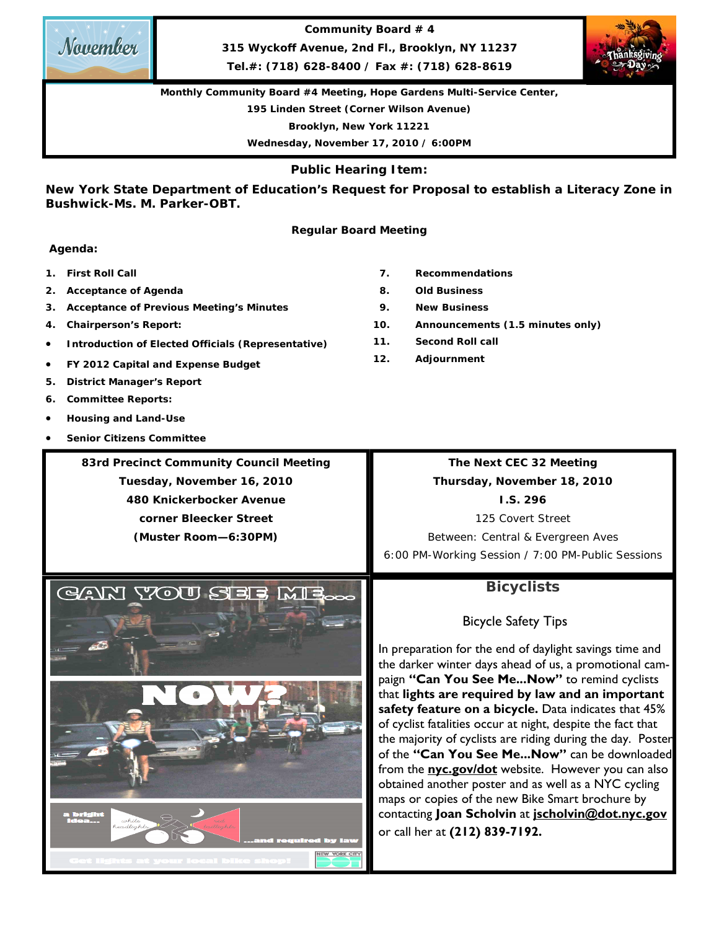**Community Board # 4** 

**315 Wyckoff Avenue, 2nd Fl., Brooklyn, NY 11237** 

**Tel.#: (718) 628-8400 / Fax #: (718) 628-8619** 

**Monthly Community Board #4 Meeting, Hope Gardens Multi-Service Center,** 

**195 Linden Street (Corner Wilson Avenue)** 

**Brooklyn, New York 11221** 

**Wednesday, November 17, 2010 / 6:00PM** 

**Public Hearing Item:** 

**New York State Department of Education's Request for Proposal to establish a Literacy Zone in Bushwick-Ms. M. Parker-OBT.** 

### **Regular Board Meeting**

### **Agenda:**

- **1. First Roll Call**
- **2. Acceptance of Agenda**
- **3. Acceptance of Previous Meeting's Minutes**
- **4. Chairperson's Report:**
- **Introduction of Elected Officials (Representative)**
- **FY 2012 Capital and Expense Budget**
- **5. District Manager's Report**
- 
- 
- **Senior Citizens Committee**

**83rd Precinct Community Council Meeting Tuesday, November 16, 2010 480 Knickerbocker Avenue corner Bleecker Street (Muster Room—6:30PM)** 

**The Next CEC 32 Meeting Thursday, November 18, 2010 I.S. 296**  125 Covert Street

Between: Central & Evergreen Aves 6:00 PM-Working Session / 7:00 PM-Public Sessions

## **Bicyclists**

Bicycle Safety Tips

In preparation for the end of daylight savings time and the darker winter days ahead of us, a promotional campaign **"Can You See Me...Now"** to remind cyclists that **lights are required by law and an important safety feature on a bicycle.** Data indicates that 45% of cyclist fatalities occur at night, despite the fact that the majority of cyclists are riding during the day. Poster of the **"Can You See Me...Now"** can be downloaded from the **nyc.gov/dot** website. However you can also obtained another poster and as well as a NYC cycling maps or copies of the new Bike Smart brochure by contacting **Joan Scholvin** at **jscholvin@dot.nyc.gov**  or call her at **(212) 839-7192.** 







- **8. Old Business**
- **9. New Business**
- **10. Announcements (1.5 minutes only)**
- **11. Second Roll call**
- **12. Adjournment**

- 
- **6. Committee Reports:**
- **Housing and Land-Use**
- 

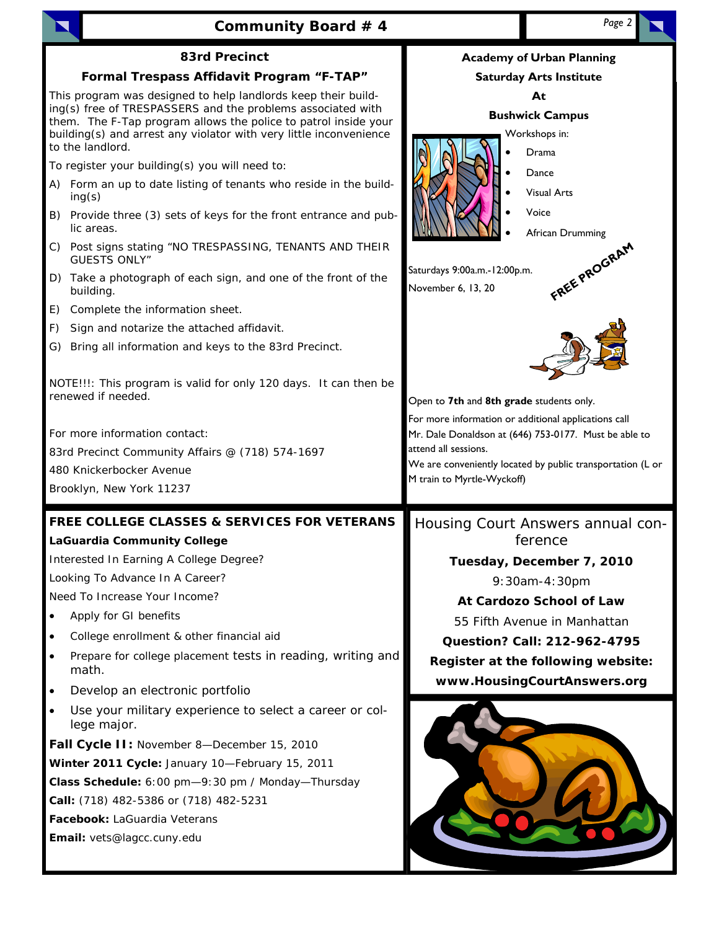|                                                                                                                                                                                                                                                                                           | Community Board # 4                                                                                                                       | Page 2                                                                                                     |                                                                                                                     |  |  |
|-------------------------------------------------------------------------------------------------------------------------------------------------------------------------------------------------------------------------------------------------------------------------------------------|-------------------------------------------------------------------------------------------------------------------------------------------|------------------------------------------------------------------------------------------------------------|---------------------------------------------------------------------------------------------------------------------|--|--|
|                                                                                                                                                                                                                                                                                           | <b>83rd Precinct</b>                                                                                                                      |                                                                                                            | <b>Academy of Urban Planning</b>                                                                                    |  |  |
|                                                                                                                                                                                                                                                                                           | Formal Trespass Affidavit Program "F-TAP"                                                                                                 |                                                                                                            | <b>Saturday Arts Institute</b>                                                                                      |  |  |
| This program was designed to help landlords keep their build-<br>ing(s) free of TRESPASSERS and the problems associated with<br>them. The F-Tap program allows the police to patrol inside your<br>building(s) and arrest any violator with very little inconvenience<br>to the landlord. |                                                                                                                                           | At<br><b>Bushwick Campus</b><br>Workshops in:<br>Drama                                                     |                                                                                                                     |  |  |
|                                                                                                                                                                                                                                                                                           | To register your building(s) you will need to:                                                                                            |                                                                                                            | Dance                                                                                                               |  |  |
|                                                                                                                                                                                                                                                                                           | A) Form an up to date listing of tenants who reside in the build-<br>ing(s)                                                               |                                                                                                            | <b>Visual Arts</b>                                                                                                  |  |  |
|                                                                                                                                                                                                                                                                                           | B) Provide three (3) sets of keys for the front entrance and pub-<br>lic areas.                                                           |                                                                                                            | Voice<br>African Drumming                                                                                           |  |  |
|                                                                                                                                                                                                                                                                                           | C) Post signs stating "NO TRESPASSING, TENANTS AND THEIR<br><b>GUESTS ONLY"</b>                                                           |                                                                                                            |                                                                                                                     |  |  |
|                                                                                                                                                                                                                                                                                           | D) Take a photograph of each sign, and one of the front of the<br>building.                                                               | Saturdays 9:00a.m.-12:00p.m.<br>November 6, 13, 20                                                         | FREE PROGRAM                                                                                                        |  |  |
| E)                                                                                                                                                                                                                                                                                        | Complete the information sheet.                                                                                                           |                                                                                                            |                                                                                                                     |  |  |
| F)                                                                                                                                                                                                                                                                                        | Sign and notarize the attached affidavit.                                                                                                 |                                                                                                            |                                                                                                                     |  |  |
| G)                                                                                                                                                                                                                                                                                        | Bring all information and keys to the 83rd Precinct.                                                                                      |                                                                                                            |                                                                                                                     |  |  |
|                                                                                                                                                                                                                                                                                           | NOTE!!!: This program is valid for only 120 days. It can then be<br>renewed if needed.                                                    | Open to 7th and 8th grade students only.                                                                   |                                                                                                                     |  |  |
|                                                                                                                                                                                                                                                                                           | For more information contact:<br>83rd Precinct Community Affairs @ (718) 574-1697<br>480 Knickerbocker Avenue<br>Brooklyn, New York 11237 | For more information or additional applications call<br>attend all sessions.<br>M train to Myrtle-Wyckoff) | Mr. Dale Donaldson at (646) 753-0177. Must be able to<br>We are conveniently located by public transportation (L or |  |  |
|                                                                                                                                                                                                                                                                                           | <b>FREE COLLEGE CLASSES &amp; SERVICES FOR VETERANS</b>                                                                                   |                                                                                                            | Housing Court Answers annual con-                                                                                   |  |  |
|                                                                                                                                                                                                                                                                                           | <b>LaGuardia Community College</b>                                                                                                        | ference                                                                                                    |                                                                                                                     |  |  |
|                                                                                                                                                                                                                                                                                           | Interested In Earning A College Degree?                                                                                                   | Tuesday, December 7, 2010                                                                                  |                                                                                                                     |  |  |
|                                                                                                                                                                                                                                                                                           | Looking To Advance In A Career?                                                                                                           |                                                                                                            | 9:30am-4:30pm                                                                                                       |  |  |
|                                                                                                                                                                                                                                                                                           | Need To Increase Your Income?                                                                                                             |                                                                                                            | At Cardozo School of Law                                                                                            |  |  |
| $\bullet$                                                                                                                                                                                                                                                                                 | Apply for GI benefits                                                                                                                     |                                                                                                            | 55 Fifth Avenue in Manhattan                                                                                        |  |  |
| $\bullet$                                                                                                                                                                                                                                                                                 | College enrollment & other financial aid                                                                                                  |                                                                                                            | Question? Call: 212-962-4795                                                                                        |  |  |
| $\bullet$                                                                                                                                                                                                                                                                                 | Prepare for college placement tests in reading, writing and<br>math.                                                                      |                                                                                                            | Register at the following website:<br>www.HousingCourtAnswers.org                                                   |  |  |
| $\bullet$                                                                                                                                                                                                                                                                                 | Develop an electronic portfolio                                                                                                           |                                                                                                            |                                                                                                                     |  |  |
|                                                                                                                                                                                                                                                                                           | Use your military experience to select a career or col-<br>lege major.                                                                    |                                                                                                            |                                                                                                                     |  |  |
|                                                                                                                                                                                                                                                                                           | Fall Cycle II: November 8-December 15, 2010                                                                                               |                                                                                                            |                                                                                                                     |  |  |
|                                                                                                                                                                                                                                                                                           | Winter 2011 Cycle: January 10-February 15, 2011                                                                                           |                                                                                                            |                                                                                                                     |  |  |
|                                                                                                                                                                                                                                                                                           | Class Schedule: 6:00 pm-9:30 pm / Monday-Thursday                                                                                         |                                                                                                            |                                                                                                                     |  |  |
|                                                                                                                                                                                                                                                                                           | Call: (718) 482-5386 or (718) 482-5231                                                                                                    |                                                                                                            |                                                                                                                     |  |  |
|                                                                                                                                                                                                                                                                                           | Facebook: LaGuardia Veterans                                                                                                              |                                                                                                            |                                                                                                                     |  |  |
|                                                                                                                                                                                                                                                                                           | Email: vets@lagcc.cuny.edu                                                                                                                |                                                                                                            |                                                                                                                     |  |  |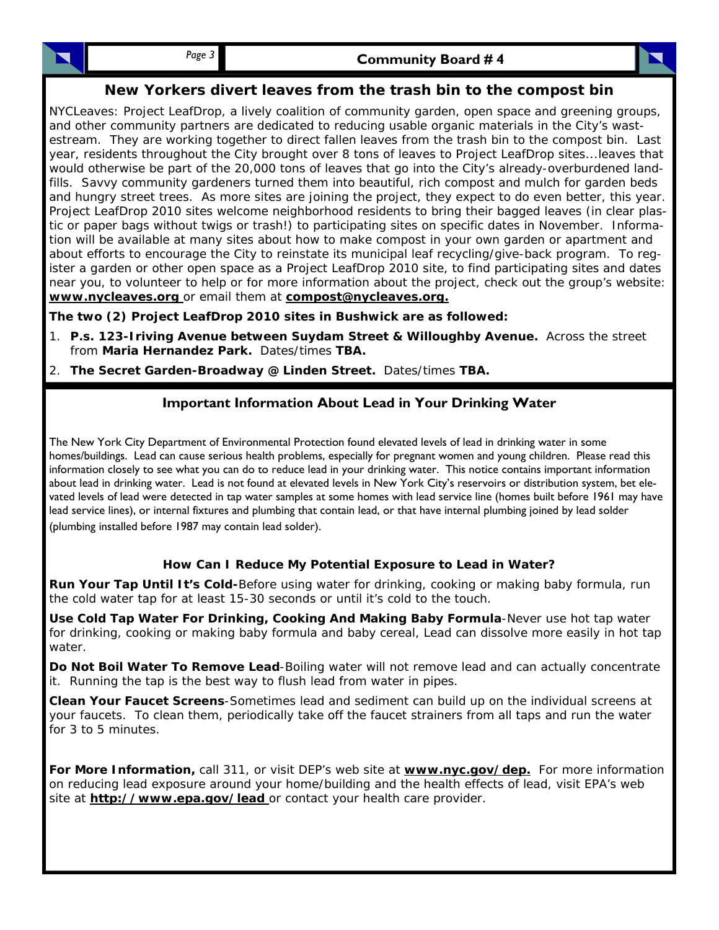## **New Yorkers divert leaves from the trash bin to the compost bin**

NYCLeaves: Project LeafDrop, a lively coalition of community garden, open space and greening groups, and other community partners are dedicated to reducing usable organic materials in the City's wastestream. They are working together to direct fallen leaves from the trash bin to the compost bin. Last year, residents throughout the City brought over 8 tons of leaves to Project LeafDrop sites...leaves that would otherwise be part of the 20,000 tons of leaves that go into the City's already-overburdened landfills. Savvy community gardeners turned them into beautiful, rich compost and mulch for garden beds and hungry street trees. As more sites are joining the project, they expect to do even better, this year. Project LeafDrop 2010 sites welcome neighborhood residents to bring their bagged leaves (in clear plastic or paper bags without twigs or trash!) to participating sites on specific dates in November. Information will be available at many sites about how to make compost in your own garden or apartment and about efforts to encourage the City to reinstate its municipal leaf recycling/give-back program. To register a garden or other open space as a Project LeafDrop 2010 site, to find participating sites and dates near you, to volunteer to help or for more information about the project, check out the group's website: **www.nycleaves.org** or email them at **compost@nycleaves.org.**

**The two (2) Project LeafDrop 2010 sites in Bushwick are as followed:** 

- 1. **P.s. 123-Iriving Avenue between Suydam Street & Willoughby Avenue.** Across the street from **Maria Hernandez Park.** Dates/times **TBA.**
- 2. **The Secret Garden-Broadway @ Linden Street.** Dates/times **TBA.**

## **Important Information About Lead in Your Drinking Water**

The New York City Department of Environmental Protection found elevated levels of lead in drinking water in some homes/buildings. Lead can cause serious health problems, especially for pregnant women and young children. Please read this information closely to see what you can do to reduce lead in your drinking water. This notice contains important information about lead in drinking water. Lead is not found at elevated levels in New York City's reservoirs or distribution system, bet elevated levels of lead were detected in tap water samples at some homes with lead service line (homes built before 1961 may have lead service lines), or internal fixtures and plumbing that contain lead, or that have internal plumbing joined by lead solder (plumbing installed before 1987 may contain lead solder).

### **How Can I Reduce My Potential Exposure to Lead in Water?**

**Run Your Tap Until It's Cold-**Before using water for drinking, cooking or making baby formula, run the cold water tap for at least 15-30 seconds or until it's cold to the touch.

**Use Cold Tap Water For Drinking, Cooking And Making Baby Formula**-Never use hot tap water for drinking, cooking or making baby formula and baby cereal, Lead can dissolve more easily in hot tap water.

**Do Not Boil Water To Remove Lead**-Boiling water will not remove lead and can actually concentrate it. Running the tap is the best way to flush lead from water in pipes.

**Clean Your Faucet Screens**-Sometimes lead and sediment can build up on the individual screens at your faucets. To clean them, periodically take off the faucet strainers from all taps and run the water for 3 to 5 minutes.

**For More Information,** call 311, or visit DEP's web site at **www.nyc.gov/dep.** For more information on reducing lead exposure around your home/building and the health effects of lead, visit EPA's web site at **http://www.epa.gov/lead** or contact your health care provider.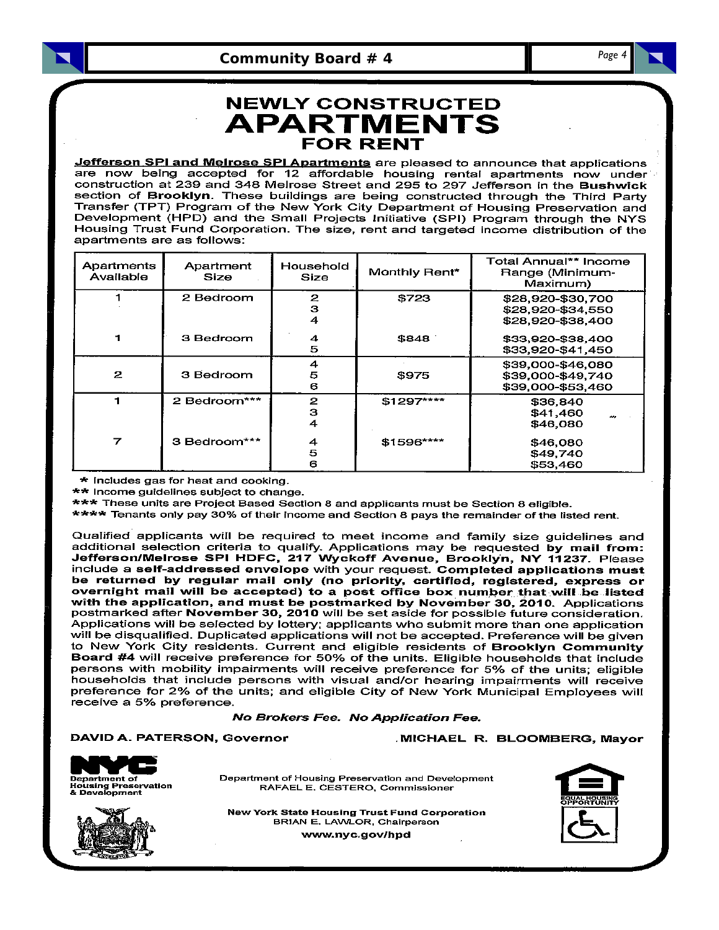Community Board # 4

Page 4

# **NEWLY CONSTRUCTED APARTMENTS FOR RENT**

Jefferson SPI and Melrose SPI Apartments are pleased to announce that applications are now being accepted for 12 affordable housing rental apartments now under construction at 239 and 348 Melrose Street and 295 to 297 Jefferson in the Bushwick section of Brooklyn. These buildings are being constructed through the Third Party Transfer (TPT) Program of the New York City Department of Housing Preservation and Development (HPD) and the Small Projects Initiative (SPI) Program through the NYS Housing Trust Fund Corporation. The size, rent and targeted income distribution of the apartments are as follows:

| Apartments<br>Available | Apartment<br>Size | Household<br>Size | Monthly Rent* | Total Annual** Income<br>Range (Minimum-<br>Maximum)        |
|-------------------------|-------------------|-------------------|---------------|-------------------------------------------------------------|
|                         | 2 Bedroom         | 2<br>з<br>4       | \$723         | \$28,920-\$30,700<br>\$28,920-\$34,550<br>\$28,920-\$38,400 |
|                         | 3 Bedroom         | 4<br>5            | \$848         | \$33,920-\$38,400<br>\$33,920-\$41.450                      |
| 2                       | 3 Bedroom         | 4<br>5<br>6       | \$975         | \$39,000-\$46,080<br>\$39,000-\$49,740<br>\$39,000-\$53,460 |
|                         | 2 Bedroom***      | 2<br>з<br>4       | \$1297****    | \$36.840<br>\$41,460<br>\$46,080                            |
| 7                       | 3 Bedroom***      | 4<br>5<br>6       | \$1596****    | \$46,080<br>\$49,740<br>\$53,460                            |

\* Includes gas for heat and cooking.

\*\* Income guidelines subject to change.

\*\*\* These units are Project Based Section 8 and applicants must be Section 8 eligible.

\*\*\*\* Tenants only pay 30% of their income and Section 8 pays the remainder of the listed rent.

Qualified applicants will be required to meet income and family size guidelines and additional selection criteria to qualify. Applications may be requested by mail from: Jefferson/Melrose SPI HDFC, 217 Wyckoff Avenue, Brooklyn, NY 11237. Please include a self-addressed envelope with your request. Completed applications must be returned by regular mail only (no priority, certified, registered, express or overnight mail will be accepted) to a post office box number that will be listed with the application, and must be postmarked by November 30, 2010. Applications<br>postmarked after November 30, 2010 will be set aside for possible future consideration. Applications will be selected by lottery; applicants who submit more than one application will be disqualified. Duplicated applications will not be accepted. Preference will be given to New York City residents. Current and eligible residents of Brooklyn Community Board #4 will receive preference for 50% of the units. Eligible households that include persons with mobility impairments will receive preference for 5% of the units; eligible households that include persons with visual and/or hearing impairments will receive preference for 2% of the units; and eligible City of New York Municipal Employees will receive a 5% preference.

### No Brokers Fee. No Application Fee.

### DAVID A. PATERSON, Governor





Department of Housing Preservation and Development RAFAEL E. CESTERO, Commissioner



**New York State Housing Trust Fund Corporation** BRIAN E. LAWLOR, Chairperson www.nyc.gov/hpd